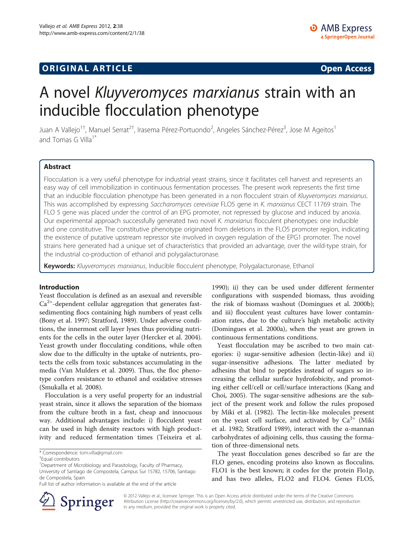## **ORIGINAL ARTICLE CONSERVANCE IN A LOCAL CONSERVANCE IN A LOCAL CONSERVANCE IN A LOCAL CONSERVANCE IN A LOCAL CONSERVANCE IN A LOCAL CONSERVANCE IN A LOCAL CONSERVANCE IN A LOCAL CONSERVANCE IN A LOCAL CONSERVANCE IN A L**

# A novel Kluyveromyces marxianus strain with an inducible flocculation phenotype

Juan A Vallejo<sup>1†</sup>, Manuel Serrat<sup>2†</sup>, Irasema Pérez-Portuondo<sup>2</sup>, Angeles Sánchez-Pérez<sup>3</sup>, Jose M Ageitos<sup>1</sup> and Tomas G Villa<sup>1\*</sup>

## Abstract

Flocculation is a very useful phenotype for industrial yeast strains, since it facilitates cell harvest and represents an easy way of cell immobilization in continuous fermentation processes. The present work represents the first time that an inducible flocculation phenotype has been generated in a non flocculent strain of Kluyveromyces marxianus. This was accomplished by expressing Saccharomyces cerevisiae FLO5 gene in K. marxianus CECT 11769 strain. The FLO 5 gene was placed under the control of an EPG promoter, not repressed by glucose and induced by anoxia. Our experimental approach successfully generated two novel K. marxianus flocculent phenotypes: one inducible and one constitutive. The constitutive phenotype originated from deletions in the FLO5 promoter region, indicating the existence of putative upstream repressor site involved in oxygen regulation of the EPG1 promoter. The novel strains here generated had a unique set of characteristics that provided an advantage, over the wild-type strain, for the industrial co-production of ethanol and polygalacturonase.

Keywords: Kluyveromyces marxianus, Inducible flocculent phenotype, Polygalacturonase, Ethanol

#### Introduction

Yeast flocculation is defined as an asexual and reversible  $Ca<sup>2+</sup>$ -dependent cellular aggregation that generates fastsedimenting flocs containing high numbers of yeast cells (Bony et al. [1997](#page-6-0); Stratford, [1989](#page-6-0)). Under adverse conditions, the innermost cell layer lyses thus providing nutrients for the cells in the outer layer (Hercker et al. [2004](#page-6-0)). Yeast growth under flocculating conditions, while often slow due to the difficulty in the uptake of nutrients, protects the cells from toxic substances accumulating in the media (Van Mulders et al. [2009](#page-6-0)). Thus, the floc phenotype confers resistance to ethanol and oxidative stresses (Smukalla et al. [2008](#page-6-0)).

Flocculation is a very useful property for an industrial yeast strain, since it allows the separation of the biomass from the culture broth in a fast, cheap and innocuous way. Additional advantages include: i) flocculent yeast can be used in high density reactors with high productivity and reduced fermentation times (Teixeira et al.



Yeast flocculation may be ascribed to two main categories: i) sugar-sensitive adhesion (lectin-like) and ii) sugar-insensitive adhesions. The latter mediated by adhesins that bind to peptides instead of sugars so increasing the cellular surface hydrofobicity, and promoting either cell/cell or cell/surface interactions (Kang and Choi, [2005](#page-6-0)). The sugar-sensitive adhesions are the subject of the present work and follow the rules proposed by Miki et al. ([1982](#page-6-0)). The lectin-like molecules present on the yeast cell surface, and activated by  $Ca^{2+}$  (Miki et al. [1982](#page-6-0); Stratford [1989](#page-6-0)), interact with the α-mannan carbohydrates of adjoining cells, thus causing the formation of three-dimensional nets.

The yeast flocculation genes described so far are the FLO genes, encoding proteins also known as flocculins. FLO1 is the best known; it codes for the protein Flo1p, and has two alleles, FLO2 and FLO4. Genes FLO5,



© 2012 Vallejo et al.; licensee Springer. This is an Open Access article distributed under the terms of the Creative Commons Attribution License [\(http://creativecommons.org/licenses/by/2.0\)](http://creativecommons.org/licenses/by/2.0), which permits unrestricted use, distribution, and reproduction in any medium, provided the original work is properly cited.

<sup>\*</sup> Correspondence: [tom.villa@gmail.com](mailto:tom.villa@gmail.com) †

<sup>&</sup>lt;sup>+</sup>Equal contributors

<sup>&</sup>lt;sup>1</sup>Department of Microbiology and Parasitology, Faculty of Pharmacy, University of Santiago de Compostela, Campus Sur 15782, 15706, Santiago de Compostela, Spain

Full list of author information is available at the end of the article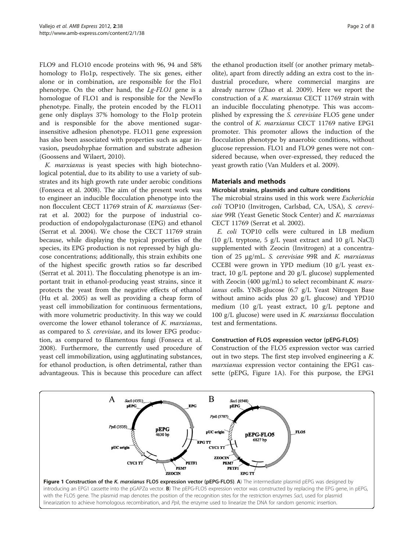<span id="page-1-0"></span>FLO9 and FLO10 encode proteins with 96, 94 and 58% homology to Flo1p, respectively. The six genes, either alone or in combination, are responsible for the Flo1 phenotype. On the other hand, the Lg-FLO1 gene is a homologue of FLO1 and is responsible for the NewFlo phenotype. Finally, the protein encoded by the FLO11 gene only displays 37% homology to the Flo1p protein and is responsible for the above mentioned sugarinsensitive adhesion phenotype. FLO11 gene expression has also been associated with properties such as agar invasion, pseudohyphae formation and substrate adhesion (Goossens and Wilaert, [2010\)](#page-6-0).

K. marxianus is yeast species with high biotechnological potential, due to its ability to use a variety of substrates and its high growth rate under aerobic conditions (Fonseca et al. [2008](#page-6-0)). The aim of the present work was to engineer an inducible flocculation phenotype into the non flocculent CECT 11769 strain of K. marxianus (Serrat et al. [2002](#page-6-0)) for the purpose of industrial coproduction of endopolygalacturonase (EPG) and ethanol (Serrat et al. [2004](#page-6-0)). We chose the CECT 11769 strain because, while displaying the typical properties of the species, its EPG production is not repressed by high glucose concentrations; additionally, this strain exhibits one of the highest specific growth ratios so far described (Serrat et al. [2011\)](#page-6-0). The flocculating phenotype is an important trait in ethanol-producing yeast strains, since it protects the yeast from the negative effects of ethanol (Hu et al. [2005\)](#page-6-0) as well as providing a cheap form of yeast cell immobilization for continuous fermentations, with more volumetric productivity. In this way we could overcome the lower ethanol tolerance of K. marxianus, as compared to S. cerevisiae, and its lower EPG production, as compared to filamentous fungi (Fonseca et al. [2008](#page-6-0)). Furthermore, the currently used procedure of yeast cell immobilization, using agglutinating substances, for ethanol production, is often detrimental, rather than advantageous. This is because this procedure can affect

the ethanol production itself (or another primary metabolite), apart from directly adding an extra cost to the industrial procedure, where commercial margins are already narrow (Zhao et al. [2009\)](#page-7-0). Here we report the construction of a K. marxianus CECT 11769 strain with an inducible flocculating phenotype. This was accomplished by expressing the S. cerevisiae FLO5 gene under the control of K. marxianus CECT 11769 native EPG1 promoter. This promoter allows the induction of the flocculation phenotype by anaerobic conditions, without glucose repression. FLO1 and FLO9 genes were not considered because, when over-expressed, they reduced the yeast growth ratio (Van Mulders et al. [2009\)](#page-6-0).

#### Materials and methods

#### Microbial strains, plasmids and culture conditions

The microbial strains used in this work were Escherichia coli TOP10 (Invitrogen, Carlsbad, CA, USA), S. cerevisiae 99R (Yeast Genetic Stock Center) and K. marxianus CECT 11769 (Serrat et al. [2002](#page-6-0)).

E. coli TOP10 cells were cultured in LB medium (10 g/L tryptone, 5 g/L yeast extract and 10 g/L NaCl) supplemented with Zeocin (Invitrogen) at a concentration of 25 <sup>μ</sup>g/mL. S. cerevisiae 99R and K. marxianus CCEBI were grown in YPD medium (10 g/L yeast extract, 10 g/L peptone and 20 g/L glucose) supplemented with Zeocin (400  $\mu$ g/mL) to select recombinant K. marxianus cells. YNB-glucose (6.7 g/L Yeast Nitrogen Base without amino acids plus 20 g/L glucose) and YPD10 medium (10 g/L yeast extract, 10 g/L peptone and 100 g/L glucose) were used in  $K$ . marxianus flocculation test and fermentations.

#### Construction of FLO5 expression vector (pEPG-FLO5)

Construction of the FLO5 expression vector was carried out in two steps. The first step involved engineering a K. marxianus expression vector containing the EPG1 cassette (pEPG, Figure 1A). For this purpose, the EPG1

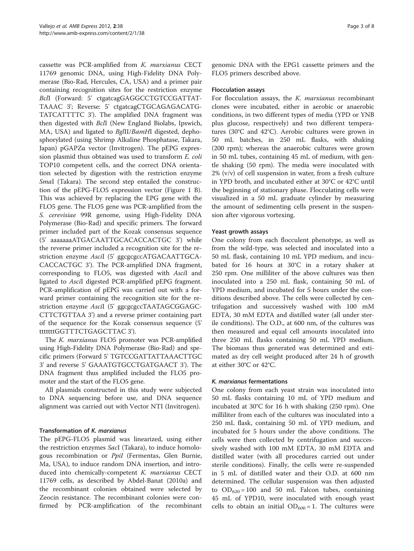cassette was PCR-amplified from K. marxianus CECT 11769 genomic DNA, using High-Fidelity DNA Polymerase (Bio-Rad, Hercules, CA, USA) and a primer pair containing recognition sites for the restriction enzyme BclI (Forward: 5' ctgatcagGAGGCCTGTCCGATTAT-TAAAC 3'; Reverse: 5' ctgatcagCTGCAGAGACATG-TATCATTTTC 3'). The amplified DNA fragment was then digested with BclI (New England Biolabs, Ipswich, MA, USA) and ligated to BglII/BamHI digested, dephosphorylated (using Shrimp Alkaline Phosphatase, Takara, Japan) pGAPZα vector (Invitrogen). The pEPG expression plasmid thus obtained was used to transform E. coli TOP10 competent cells, and the correct DNA orientation selected by digestion with the restriction enzyme SmaI (Takara). The second step entailed the construction of the pEPG-FLO5 expression vector (Figure [1](#page-1-0) B). This was achieved by replacing the EPG gene with the FLO5 gene. The FLO5 gene was PCR-amplified from the S. cerevisiae 99R genome, using High-Fidelity DNA Polymerase (Bio-Rad) and specific primers. The forward primer included part of the Kozak consensus sequence (5' aaaaaaaATGACAATTGCACACCACTGC 3') while the reverse primer included a recognition site for the restriction enzyme AsciI (5' ggcgcgccATGACAATTGCA-CACCACTGC 3'). The PCR-amplified DNA fragment, corresponding to FLO5, was digested with AsciI and ligated to AsciI digested PCR-amplified pEPG fragment. PCR-amplification of pEPG was carried out with a forward primer containing the recognition site for the restriction enzyme AsciI (5' ggcgcgccTAATAGCGGAGC-CTTCTGTTAA 3') and a reverse primer containing part of the sequence for the Kozak consensus sequence (5' tttttttGGTTTCTGAGCTTAC 3').

The K. marxianus FLO5 promoter was PCR-amplified using High-Fidelity DNA Polymerase (Bio-Rad) and specific primers (Forward 5' TGTCCGATTATTAAACTTGC 3' and reverse 5' GAAATGTGCCTGATGAACT 3'). The DNA fragment thus amplified included the FLO5 promoter and the start of the FLO5 gene.

All plasmids constructed in this study were subjected to DNA sequencing before use, and DNA sequence alignment was carried out with Vector NTI (Invitrogen).

## Transformation of K. marxianus

The pEPG-FLO5 plasmid was linearized, using either the restriction enzymes SacI (Takara), to induce homologous recombination or PpiI (Fermentas, Glen Burnie, Ma, USA), to induce random DNA insertion, and introduced into chemically-competent K. marxianus CECT 11769 cells, as described by Abdel-Banat [\(2010a](#page-6-0)) and the recombinant colonies obtained were selected by Zeocin resistance. The recombinant colonies were confirmed by PCR-amplification of the recombinant genomic DNA with the EPG1 cassette primers and the FLO5 primers described above.

#### Flocculation assays

For flocculation assays, the *K. marxianus* recombinant clones were incubated, either in aerobic or anaerobic conditions, in two different types of media (YPD or YNB plus glucose, respectively) and two different temperatures (30°C and 42°C). Aerobic cultures were grown in 50 mL batches, in 250 mL flasks, with shaking (200 rpm); whereas the anaerobic cultures were grown in 50 mL tubes, containing 45 mL of medium, with gentle shaking (50 rpm). The media were inoculated with  $2\%$  (v/v) of cell suspension in water, from a fresh culture in YPD broth, and incubated either at 30°C or 42°C until the beginning of stationary phase. Flocculating cells were visualized in a 50 mL graduate cylinder by measuring the amount of sedimenting cells present in the suspension after vigorous vortexing.

#### Yeast growth assays

One colony from each flocculent phenotype, as well as from the wild-type, was selected and inoculated into a 50 mL flask, containing 10 mL YPD medium, and incubated for 16 hours at 30°C in a rotary shaker at 250 rpm. One milliliter of the above cultures was then inoculated into a 250 mL flask, containing 50 mL of YPD medium, and incubated for 5 hours under the conditions described above. The cells were collected by centrifugation and successively washed with 100 mM EDTA, 30 mM EDTA and distilled water (all under sterile conditions). The O.D., at 600 nm, of the cultures was then measured and equal cell amounts inoculated into three 250 mL flasks containing 50 mL YPD medium. The biomass thus generated was determined and estimated as dry cell weight produced after 24 h of growth at either 30°C or 42°C.

#### K. marxianus fermentations

One colony from each yeast strain was inoculated into 50 mL flasks containing 10 mL of YPD medium and incubated at 30°C for 16 h with shaking (250 rpm). One milliliter from each of the cultures was inoculated into a 250 mL flask, containing 50 mL of YPD medium, and incubated for 5 hours under the above conditions. The cells were then collected by centrifugation and successively washed with 100 mM EDTA, 30 mM EDTA and distilled water (with all procedures carried out under sterile conditions). Finally, the cells were re-suspended in 5 mL of distilled water and their O.D. at 600 nm determined. The cellular suspension was then adjusted to  $OD_{620} = 100$  and 50 mL Falcon tubes, containing 45 mL of YPD10, were inoculated with enough yeast cells to obtain an initial  $OD_{600} = 1$ . The cultures were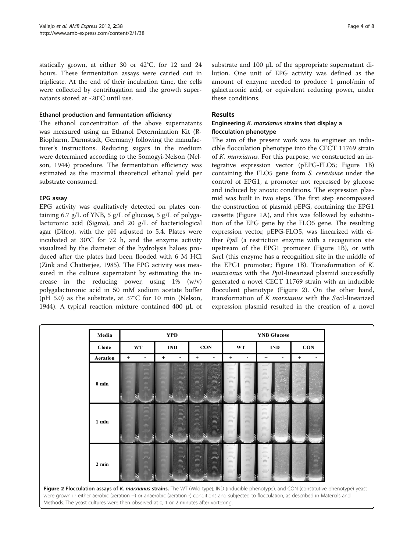<span id="page-3-0"></span>statically grown, at either 30 or 42°C, for 12 and 24 hours. These fermentation assays were carried out in triplicate. At the end of their incubation time, the cells were collected by centrifugation and the growth supernatants stored at -20°C until use.

#### Ethanol production and fermentation efficiency

The ethanol concentration of the above supernatants was measured using an Ethanol Determination Kit (R-Biopharm, Darmstadt, Germany) following the manufacturer's instructions. Reducing sugars in the medium were determined according to the Somogyi-Nelson (Nelson, [1944\)](#page-6-0) procedure. The fermentation efficiency was estimated as the maximal theoretical ethanol yield per substrate consumed.

#### EPG assay

EPG activity was qualitatively detected on plates containing 6.7 g/L of YNB, 5 g/L of glucose, 5 g/L of polygalacturonic acid (Sigma), and 20 g/L of bacteriological agar (Difco), with the pH adjusted to 5.4. Plates were incubated at 30°C for 72 h, and the enzyme activity visualized by the diameter of the hydrolysis haloes produced after the plates had been flooded with 6 M HCl (Zink and Chatterjee, [1985](#page-7-0)). The EPG activity was measured in the culture supernatant by estimating the increase in the reducing power, using 1% (w/v) polygalacturonic acid in 50 mM sodium acetate buffer (pH 5.0) as the substrate, at 37°C for 10 min (Nelson, [1944](#page-6-0)). A typical reaction mixture contained 400 μL of

substrate and 100 μL of the appropriate supernatant dilution. One unit of EPG activity was defined as the amount of enzyme needed to produce 1 μmol/min of galacturonic acid, or equivalent reducing power, under these conditions.

#### Results

#### Engineering K. marxianus strains that display a flocculation phenotype

The aim of the present work was to engineer an inducible flocculation phenotype into the CECT 11769 strain of K. marxianus. For this purpose, we constructed an integrative expression vector (pEPG-FLO5; Figure [1B](#page-1-0)) containing the FLO5 gene from S. cerevisiae under the control of EPG1, a promoter not repressed by glucose and induced by anoxic conditions. The expression plasmid was built in two steps. The first step encompassed the construction of plasmid pEPG, containing the EPG1 cassette (Figure [1A\)](#page-1-0), and this was followed by substitution of the EPG gene by the FLO5 gene. The resulting expression vector, pEPG-FLO5, was linearized with either PpiI (a restriction enzyme with a recognition site upstream of the EPG1 promoter (Figure [1B](#page-1-0)), or with SacI (this enzyme has a recognition site in the middle of the EPG1 promoter; Figure [1B\)](#page-1-0). Transformation of  $K$ . marxianus with the PpiI-linearized plasmid successfully generated a novel CECT 11769 strain with an inducible flocculent phenotype (Figure 2). On the other hand, transformation of K marxianus with the SacI-linearized expression plasmid resulted in the creation of a novel

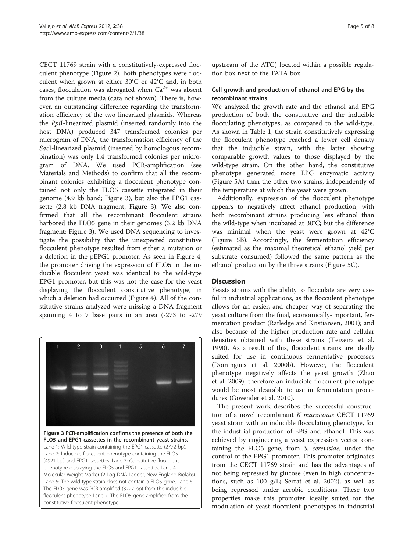CECT 11769 strain with a constitutively-expressed flocculent phenotype (Figure [2](#page-3-0)). Both phenotypes were flocculent when grown at either 30°C or 42°C and, in both cases, flocculation was abrogated when  $Ca^{2+}$  was absent from the culture media (data not shown). There is, however, an outstanding difference regarding the transformation efficiency of the two linearized plasmids. Whereas the PpiI-linearized plasmid (inserted randomly into the host DNA) produced 347 transformed colonies per microgram of DNA, the transformation efficiency of the SacI-linearized plasmid (inserted by homologous recombination) was only 1.4 transformed colonies per microgram of DNA. We used PCR-amplification (see Materials and Methods) to confirm that all the recombinant colonies exhibiting a flocculent phenotype contained not only the FLO5 cassette integrated in their genome (4.9 kb band; Figure 3), but also the EPG1 cassette (2.8 kb DNA fragment; Figure 3). We also confirmed that all the recombinant flocculent strains harbored the FLO5 gene in their genomes (3.2 kb DNA fragment; Figure 3). We used DNA sequencing to investigate the possibility that the unexpected constitutive flocculent phenotype resulted from either a mutation or a deletion in the pEPG1 promoter. As seen in Figure [4](#page-5-0), the promoter driving the expression of FLO5 in the inducible flocculent yeast was identical to the wild-type EPG1 promoter, but this was not the case for the yeast displaying the flocculent constitutive phenotype, in which a deletion had occurred (Figure [4\)](#page-5-0). All of the constitutive strains analyzed were missing a DNA fragment spanning 4 to 7 base pairs in an area (-273 to -279



Figure 3 PCR-amplification confirms the presence of both the FLO5 and EPG1 cassettes in the recombinant yeast strains. Lane 1: Wild type strain containing the EPG1 cassette (2772 bp). Lane 2: Inducible flocculent phenotype containing the FLO5 (4921 bp) and EPG1 cassettes. Lane 3: Constitutive flocculent phenotype displaying the FLO5 and EPG1 cassettes. Lane 4: Molecular Weight Marker (2-Log DNA Ladder, New England Biolabs). Lane 5: The wild type strain does not contain a FLO5 gene. Lane 6: The FLO5 gene was PCR-amplified (3227 bp) from the inducible flocculent phenotype Lane 7: The FLO5 gene amplified from the constitutive flocculent phenotype.

upstream of the ATG) located within a possible regulation box next to the TATA box.

## Cell growth and production of ethanol and EPG by the recombinant strains

We analyzed the growth rate and the ethanol and EPG production of both the constitutive and the inducible flocculating phenotypes, as compared to the wild-type. As shown in Table [1](#page-5-0), the strain constitutively expressing the flocculent phenotype reached a lower cell density that the inducible strain, with the latter showing comparable growth values to those displayed by the wild-type strain. On the other hand, the constitutive phenotype generated more EPG enzymatic activity (Figure [5A\)](#page-6-0) than the other two strains, independently of the temperature at which the yeast were grown.

Additionally, expression of the flocculent phenotype appears to negatively affect ethanol production, with both recombinant strains producing less ethanol than the wild-type when incubated at 30°C; but the difference was minimal when the yeast were grown at 42°C (Figure [5B](#page-6-0)). Accordingly, the fermentation efficiency (estimated as the maximal theoretical ethanol yield per substrate consumed) followed the same pattern as the ethanol production by the three strains (Figure [5C\)](#page-6-0).

## **Discussion**

Yeasts strains with the ability to flocculate are very useful in industrial applications, as the flocculent phenotype allows for an easier, and cheaper, way of separating the yeast culture from the final, economically-important, fermentation product (Ratledge and Kristiansen, [2001](#page-6-0)); and also because of the higher production rate and cellular densities obtained with these strains (Teixeira et al. [1990](#page-6-0)). As a result of this, flocculent strains are ideally suited for use in continuous fermentative processes (Domingues et al. [2000b\)](#page-6-0). However, the flocculent phenotype negatively affects the yeast growth (Zhao et al. [2009](#page-7-0)), therefore an inducible flocculent phenotype would be most desirable to use in fermentation procedures (Govender et al. [2010](#page-6-0)).

The present work describes the successful construction of a novel recombinant K marxianus CECT 11769 yeast strain with an inducible flocculating phenotype, for the industrial production of EPG and ethanol. This was achieved by engineering a yeast expression vector containing the FLO5 gene, from S. cerevisiae, under the control of the EPG1 promoter. This promoter originates from the CECT 11769 strain and has the advantages of not being repressed by glucose (even in high concentrations, such as 100 g/L; Serrat et al. [2002](#page-6-0)), as well as being repressed under aerobic conditions. These two properties make this promoter ideally suited for the modulation of yeast flocculent phenotypes in industrial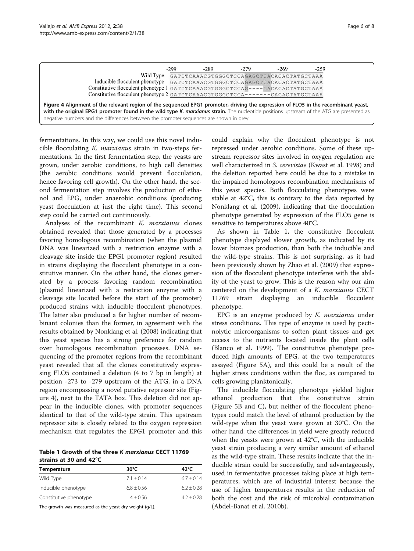<span id="page-5-0"></span>

|                                                                                                                                                                                                                                                                                 | $-299$ | $-289$                                    | $-279$ | $-269$ | $-259$ |
|---------------------------------------------------------------------------------------------------------------------------------------------------------------------------------------------------------------------------------------------------------------------------------|--------|-------------------------------------------|--------|--------|--------|
| Wild Type                                                                                                                                                                                                                                                                       |        | GATCTCAAACGTGGGCTCCAGAGCTCACACACTATGCTAAA |        |        |        |
| Inducible flocculent phenotype GATCTCAAACGTGGGCTCCAGAGCTCACACACTATGCTAAA                                                                                                                                                                                                        |        |                                           |        |        |        |
| Constitutive flocculent phenotype 1 GATCTCAAACGTGGGCTCCAG----CACACACTATGCTAAA                                                                                                                                                                                                   |        |                                           |        |        |        |
| Constitutive flocculent phenotype 2 GATCTCAAACGTGGGCTCCA-------CACACTATGCTAAA                                                                                                                                                                                                   |        |                                           |        |        |        |
| Figure 4 Alignment of the relevant region of the sequenced EPG1 promoter, driving the expression of FLO5 in the recombinant yeast,<br>with the original EPG1 promoter found in the wild type K. marxianus strain. The nucleotide positions upstream of the ATG are presented as |        |                                           |        |        |        |
| negative numbers and the differences between the promoter sequences are shown in grey.                                                                                                                                                                                          |        |                                           |        |        |        |

fermentations. In this way, we could use this novel indu-

cible flocculating K. marxianus strain in two-steps fermentations. In the first fermentation step, the yeasts are grown, under aerobic conditions, to high cell densities (the aerobic conditions would prevent flocculation, hence favoring cell growth). On the other hand, the second fermentation step involves the production of ethanol and EPG, under anaerobic conditions (producing yeast flocculation at just the right time). This second step could be carried out continuously.

Analyses of the recombinant K. marxianus clones obtained revealed that those generated by a processes favoring homologous recombination (when the plasmid DNA was linearized with a restriction enzyme with a cleavage site inside the EPG1 promoter region) resulted in strains displaying the flocculent phenotype in a constitutive manner. On the other hand, the clones generated by a process favoring random recombination (plasmid linearized with a restriction enzyme with a cleavage site located before the start of the promoter) produced strains with inducible flocculent phenotypes. The latter also produced a far higher number of recombinant colonies than the former, in agreement with the results obtained by Nonklang et al. ([2008](#page-6-0)) indicating that this yeast species has a strong preference for random over homologous recombination processes. DNA sequencing of the promoter regions from the recombinant yeast revealed that all the clones constitutively expressing FLO5 contained a deletion (4 to 7 bp in length) at position -273 to -279 upstream of the ATG, in a DNA region encompassing a novel putative repressor site (Figure 4), next to the TATA box. This deletion did not appear in the inducible clones, with promoter sequences identical to that of the wild-type strain. This upstream repressor site is closely related to the oxygen repression mechanism that regulates the EPG1 promoter and this

Table 1 Growth of the three K marxianus CECT 11769 strains at 30 and 42°C

|              | 42°C           |  |
|--------------|----------------|--|
| $7.1 + 0.14$ | $6.7 \pm 0.14$ |  |
| $6.8 + 0.56$ | $6.2 + 0.28$   |  |
| $4 \pm 0.56$ | $4.2 + 0.28$   |  |
|              | 30°C           |  |

The growth was measured as the yeast dry weight (g/L).

could explain why the flocculent phenotype is not repressed under aerobic conditions. Some of these upstream repressor sites involved in oxygen regulation are well characterized in S. cerevisiae (Kwast et al. [1998](#page-6-0)) and the deletion reported here could be due to a mistake in the impaired homologous recombination mechanisms of this yeast species. Both flocculating phenotypes were stable at 42°C, this is contrary to the data reported by Nonklang et al. [\(2009\)](#page-6-0), indicating that the flocculation phenotype generated by expression of the FLO5 gene is sensitive to temperatures above 40°C.

As shown in Table 1, the constitutive flocculent phenotype displayed slower growth, as indicated by its lower biomass production, than both the inducible and the wild-type strains. This is not surprising, as it had been previously shown by Zhao et al. ([2009](#page-7-0)) that expression of the flocculent phenotype interferes with the ability of the yeast to grow. This is the reason why our aim centered on the development of a *K. marxianus* CECT<br>11769 strain displaying an inducible flocculent strain displaying an inducible flocculent phenotype.

EPG is an enzyme produced by  $K$ . marxianus under stress conditions. This type of enzyme is used by pectinolytic microorganisms to soften plant tissues and get access to the nutrients located inside the plant cells (Blanco et al. [1999\)](#page-6-0). The constitutive phenotype produced high amounts of EPG, at the two temperatures assayed (Figure [5A](#page-6-0)), and this could be a result of the higher stress conditions within the floc, as compared to cells growing planktonically.

The inducible flocculating phenotype yielded higher ethanol production that the constitutive strain (Figure [5B and C\)](#page-6-0), but neither of the flocculent phenotypes could match the level of ethanol production by the wild-type when the yeast were grown at 30°C. On the other hand, the differences in yield were greatly reduced when the yeasts were grown at 42°C, with the inducible yeast strain producing a very similar amount of ethanol as the wild-type strain. These results indicate that the inducible strain could be successfully, and advantageously, used in fermentative processes taking place at high temperatures, which are of industrial interest because the use of higher temperatures results in the reduction of both the cost and the risk of microbial contamination (Abdel-Banat et al. [2010b](#page-6-0)).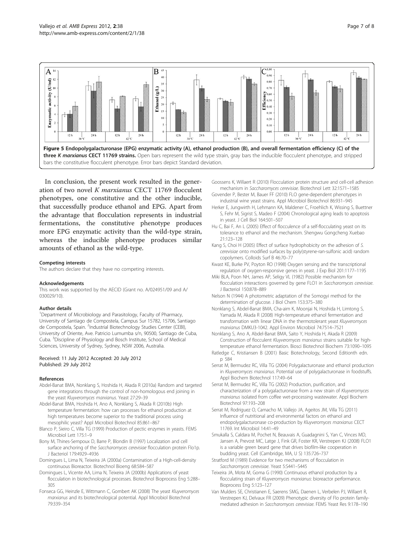<span id="page-6-0"></span>

In conclusion, the present work resulted in the generation of two novel K marxianus CECT 11769 flocculent phenotypes, one constitutive and the other inducible, that successfully produce ethanol and EPG. Apart from the advantage that flocculation represents in industrial fermentations, the constitutive phenotype produces more EPG enzymatic activity than the wild-type strain, whereas the inducible phenotype produces similar amounts of ethanol as the wild-type.

#### Competing interests

The authors declare that they have no competing interests.

#### Acknowledgements

This work was supported by the AECID (Grant no. A/024951/09 and A/ 030029/10).

#### Author details

<sup>1</sup>Department of Microbiology and Parasitology, Faculty of Pharmacy, University of Santiago de Compostela, Campus Sur 15782, 15706, Santiago de Compostela, Spain. <sup>2</sup>Industrial Biotechnology Studies Center (CEBI), University of Oriente, Ave. Patricio Lumumba s/n, 90500, Santiago de Cuba, Cuba. <sup>3</sup> Discipline of Physiology and Bosch Institute, School of Medical Sciences, University of Sydney, Sydney, NSW 2006, Australia.

#### Received: 11 July 2012 Accepted: 20 July 2012 Published: 29 July 2012

#### References

- Abdel-Banat BMA, Nonklang S, Hoshida H, Akada R (2010a) Random and targeted gene integrations through the control of non-homologous end joining in the yeast Kluyveromyces marxianus. Yeast 27:29–39
- Abdel-Banat BMA, Hoshida H, Ano A, Nonklang S, Akada R (2010b) High temperature fermentation: how can processes for ethanol production at high temperatures become superior to the traditional process using mesophilic yeast? Appl Microbiol Biotechnol 85:861–867
- Blanco P, Sieiro C, Villa TG (1999) Production of pectic enzymes in yeasts. FEMS Microbiol Lett 175:1–9
- Bony M, Thines-Sempoux D, Barre P, Blondin B (1997) Localization and cell surface anchoring of the Saccharomyces cerevisiae flocculation protein Flo1p. J Bacteriol 179:4929–4936
- Domingues L, Lima N, Teixeira JA (2000a) Contamination of a High-cell-density continuous Bioreactor. Biotechnol Bioeng 68:584–587
- Domingues L, Vicente AA, Lima N, Teixeira JA (2000b) Applications of yeast flocculation in biotechnological processes. Biotechnol Bioprocess Eng 5:288– 305
- Fonseca GG, Heinzle E, Wittmann C, Gombert AK (2008) The yeast Kluyveromyces marxianus and its biotechnological potential. Appl Microbiol Biotechnol 79:339–354
- Goossens K, Willaert R (2010) Flocculation protein structure and cell-cell adhesion mechanism in Saccharomyces cerevisiae. Biotechnol Lett 32:1571–1585
- Govender P, Bester M, Bauer FF (2010) FLO gene-dependent phenotypes in industrial wine yeast strains. Appl Microbiol Biotechnol 86:931–945
- Herker E, Jungwirth H, Lehmann KA, Maldener C, Froehlich K, Wissing S, Buettner S, Fehr M, Sigrist S, Madeo F (2004) Chronological aging leads to apoptosis in yeast. J Cell Biol 164:501–507
- Hu C, Bai F, An L (2005) Effect of flocculence of a self-flocculating yeast on its tolerance to ethanol and the mechanism. Shengwu Gongcheng Xuebao 21:123–128
- Kang S, Choi H (2005) Effect of surface hydrophobicity on the adhesion of S. cerevisiae onto modified surfaces by poly(styrene-ran-sulfonic acid) random copolymers. Colloids Surf B 46:70–77
- Kwast KE, Burke PV, Poyton RO (1998) Oxygen sensing and the transcriptional regulation of oxygen-responsive genes in yeast. J Exp Biol 201:1177–1195
- Miki BLA, Poon NH, James AP, Seligy VL (1982) Possible mechanism for flocculation interactions governed by gene FLO1 in Saccharomyces cerevisiae. J Bacteriol 150:878–889
- Nelson N (1944) A photometric adaptation of the Somogyi method for the determination of glucose. J Biol Chem 153:375–380
- Nonklang S, Abdel-Banat BMA, Cha-aim K, Moonjai N, Hoshida H, Limtong S, Yamada M, Akada R (2008) High-temperature ethanol fermentation and transformation with linear DNA in the thermotolerant yeast Kluyveromyces marxianus DMKU3-1042. Appl Environ Microbiol 74:7514–7521

Nonklang S, Ano A, Abdel-Banat BMA, Saito Y, Hoshida H, Akada R (2009) Construction of flocculent Kluyveromyces marxianus strains suitable for hightemperature ethanol fermentation. Biosci Biotechnol Biochem 73:1090–1095

- Ratledge C, Kristiansen B (2001) Basic Biotechnology, Second Editionth edn. p 584
- Serrat M, Bermudez RC, Villa TG (2004) Polygalacturonase and ethanol production in Kluyveromyces marxianus. Potential use of polygalacturonase in foodstuffs. Appl Biochem Biotechnol 117:49–64
- Serrat M, Bermudez RC, Villa TG (2002) Production, purification, and characterization of a polygalacturonase from a new strain of Kluyveromyces marxianus isolated from coffee wet-processing wastewater. Appl Biochem Biotechnol 97:193–208
- Serrat M, Rodriguez O, Camacho M, Vallejo JA, Ageitos JM, Villa TG (2011) Influence of nutritional and environmental factors on ethanol and endopolygalacturonase co-production by Kluyveromyces marxianus CECT 11769. Int Microbiol 14:41–49
- Smukalla S, Caldara M, Pochet N, Beauvais A, Guadagnini S, Yan C, Vinces MD, Jansen A, Prevost MC, Latge J, Fink GR, Foster KR, Verstrepen KJ (2008) FLO1 is a variable green beard gene that drives biofilm-like cooperation in budding yeast. Cell (Cambridge, MA, U S) 135:726–737
- Stratford M (1989) Evidence for two mechanisms of flocculation in Saccharomyces cerevisiae. Yeast 5:S441–S445
- Teixeira JA, Mota M, Goma G (1990) Continuous ethanol production by a flocculating strain of Kluyveromyces marxianus: bioreactor performance. Bioprocess Eng 5:123–127
- Van Mulders SE, Christianen E, Saerens SMG, Daenen L, Verbelen PJ, Willaert R, Verstrepen KJ, Delvaux FR (2009) Phenotypic diversity of Flo protein familymediated adhesion in Saccharomyces cerevisiae. FEMS Yeast Res 9:178–190